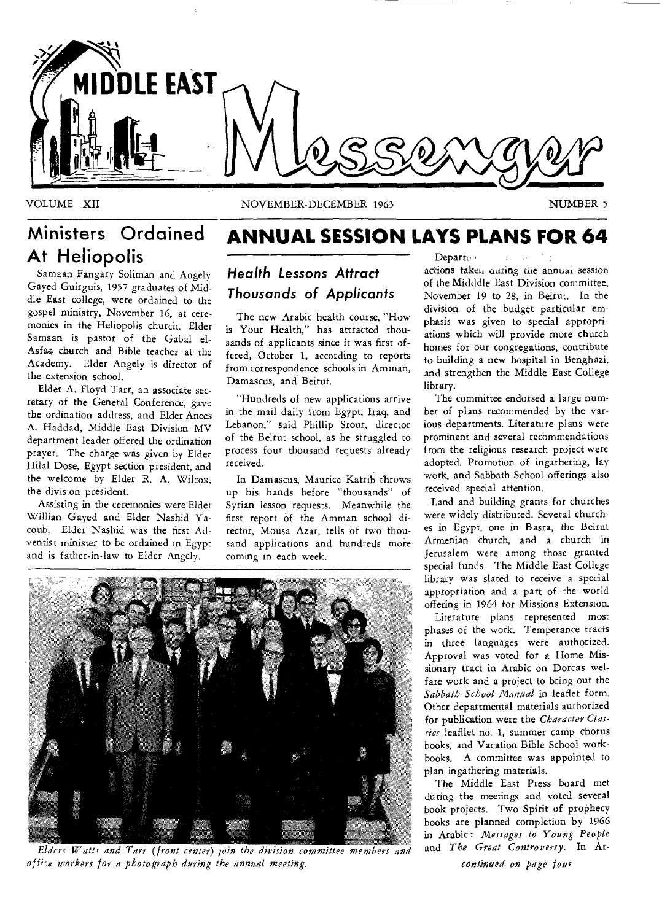

VOLUME XII NOVEMBER-DECEMBER 1963 NUMBER 5

# **At Heliopolis**

Samaan Fangary Soliman and Angely Gayed Guirguis, 1957 graduates of Middle East college, were ordained to the gospel ministry, November 16, at ceremonies in the Heliopolis church. Elder Samaan is pastor of the Gabal el-Asfar church and Bible teacher at the Academy. Elder Angely is director of the extension school.

Elder A. Floyd Tarr, an associate secretary of the General Conference, gave the ordination address, and Elder Anees A. Haddad, Middle East Division MV department leader offered the ordination prayer. The charge was given by Elder Hilal Dose, Egypt section president, and the welcome by Elder R. A. Wilcox, the division president.

Assisting in the ceremonies were Elder Willian Gayed and Elder Nashid Yacoub. Elder Nashid was the first Adventist minister to be ordained in Egypt and is father-in-law to Elder Angely.

# **Ministers Ordained ANNUAL SESSION LAYS PLANS FOR 64**

*Health Lessons Attract Thousands* **of** *Applicants* 

The new Arabic health course, "How is Your Health," has attracted thousands of applicants since it was first offered, October 1, according to reports from correspondence schools in Amman, Damascus, and Beirut.

"Hundreds of new applications arrive in the mail daily from Egypt, Iraq, and Lebanon," said Phillip Srour, director of the Beirut school, as he struggled to process four thousand requests already received.

In Damascus, Maurice Katrib throws up his hands before "thousands" of Syrian lesson requests. Meanwhile the first report of the Amman school director, Mousa Azar, tells of two thousand applications and hundreds more coming in each week.

Depart: actions taken auring the annual session of the Midddle East Division committee, November 19 to 28, in Beirut. In the division of the budget particular emphasis was given to special appropriations which will provide more church homes for our congregations, contribute to building a new hospital in Benghazi, and strengthen the Middle East College library.

The committee endorsed a large number of plans recommended by the various departments. Literature plans were prominent and several recommendations from the religious research project were adopted. Promotion of ingathering, lay work, and Sabbath School offerings also received special attention.

Land and building grants for churches were widely distributed. Several churches in Egypt, one in Basra, the Beirut Armenian church, and a church in Jerusalem were among those granted special funds. The Middle East College library was slated to receive a special appropriation and a part of the world offering in 1964 for Missions Extension.

Literature plans represented most phases of the work. Temperance tracts in three languages were authorized. Approval was voted for a Home Missionary tract in Arabic on Dorcas welfare work and a project to bring out the *Sabbath School Manual* in leaflet form. Other departmental materials authorized for publication were the *Character Classics* leafllet no. 1, summer camp chorus books, and Vacation Bible School workbooks. A committee was appointed to plan ingathering materials.

The Middle East Press board met during the meetings and voted several book projects. Two Spirit of prophecy books are planned completion by 1966 in Arabic : *Messages to Young People*  and *The Great Controversy.* In Ar-



*Elders Watts and Tarr (front center) pin the division committee members and of f;-6,workers for a photograph during the annual meeting.* 

*continued on page four*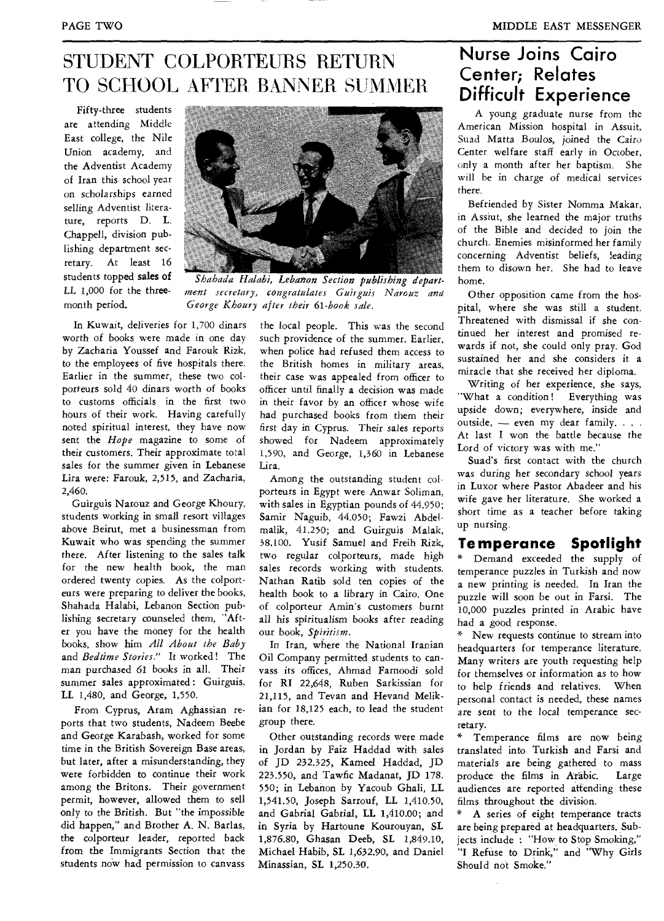### STUDENT COLPORTEURS RETURN TO SCHOOL AFTER BANNER SUMMER

Fifty-three students are attending Middle East college, the Nile Union academy, and the Adventist Academy of Iran this school year on scholarships earned selling Adventist literature, reports D. L. Chappell, division publishing department secretary. At least 16 students topped sales of LL 1,000 for *the* threemonth period.



*Shahada Halabi, Lebanon Section publishing department secretary, congratulates Guirguis Narouz and George Khoury after their 61-book sale.* 

In Kuwait, deliveries for 1,700 dinars worth of books were made in one day by Zacharia Youssef and Farouk Rizk, to the employees of five hospitals there. Earlier in the summer, these two colporteurs sold 40 dinars worth of books to customs officials in the first two hours of their work. Having carefully noted spiritual interest, they have now sent the *Hope* magazine to some of their customers. Their approximate total sales for the summer given in Lebanese Lira were: Farouk, 2,515, and Zacharia, 2,460.

Guirguis Narouz and George Khoury, students working in small resort villages above Beirut, met a businessman from Kuwait who was spending the summer there. After listening to the sales talk for the new health book, the man ordered twenty copies. As the colporteurs were preparing to deliver the books, Shahada Halabi, Lebanon Section publishing secretary counseled them, "After you have the money for the health books, show him *All About the Baby*  and *Bedtime Stories."* It worked! The man purchased 61 books in *all.* Their summer sales approximated : Guirguis, LL 1,480, and George, 1,550.

From Cyprus, Aram Aghassian reports that two students, Nadeem Beebe and George Karabash, worked for some time in the British Sovereign Base areas, but later, after a misunderstanding, they were forbidden to continue their work among the Britons. Their government permit, however, allowed them to sell only to the British. But "the impossible did happen," and Brother A. N. Barlas, the colporteur leader, reported back from the Immigrants Section that the students now had permission to canvass

the local people. This was the second such providence of the summer. Earlier, when police had refused them access to the British homes in military areas, their case was appealed from officer to officer until finally a decision was made in their favor by an officer whose wife had purchased books from them their first day in Cyprus. Their sales reports showed for Nadeem approximately 1,590, and George, 1,360 in Lebanese Lira.

Among the outstanding student colporteurs in Egypt were Anwar Soliman, with sales in Egyptian pounds of 44.950; Samir Naguib, 44.050; Fawzi Abdelmalik, 41.250; and Guirguis Malak, 38.100. Yusif Samuel and Freih Rizk, two regular colporteurs, made high sales records working with students. Nathan Ratib sold ten copies of the health book to a library in Cairo. One of colporteur Amin's customers burnt all his spiritualism books after reading our book, *Spiritism.* 

In Iran, where the National Iranian Oil Company permitted students to canvass its offices, Ahmad Farnoodi sold for RI 22,648, Ruben Sarkissian for 21,115, and Tevan and Hevand Melikian for 18,125 each, to lead the student group there.

Other outstanding records were made in Jordan by Faiz Haddad with sales of JD 232.325, Kameel Haddad, JD 223.550, and Tawfic Madanat, JD 178. 550; in Lebanon by Yacoub Ghali, LL 1,541.50, Joseph Sarrouf, LL 1,410.50, and Gabrial Gabrial, LL 1,410.00; and in Syria by Hartoune Kourouyan, SL 1,876.80, Ghasan Deeb, SL 1,849.10, Michael Habib, SL 1,632.90, and Daniel Minassian, SL 1,250.30.

### **Nurse Joins Cairo Center; Relates Difficult Experience**

A young graduate nurse from the American Mission hospital in Assuit, Suad Matta Boulos, joined the Cairo Center welfare staff early in October, only a month after her baptism. She will be in charge of medical services there.

Befriended by Sister Nomma Makar, in Assiut, she learned the major truths of the Bible and decided to join the church. Enemies misinformed her family concerning Adventist beliefs, leading them to disown her. She had to leave home.

Other opposition came from the hospital, where she was still a student. Threatened with dismissal if she continued her interest and promised rewards if not, she could only pray. God sustained her and she considers it a miracle that she received her diploma.

Writing of her experience, she says, "What a condition! Everything was upside down; everywhere, inside and outside, — even my dear family. . . . At last I won the battle because the Lord of victory was with me."

Suad's first contact with the church was during her *secondary* school years in Luxor where Pastor Abadeer and his wife gave her literature. She worked a short time as a teacher before taking up nursing.

#### **Temperance Spotlight**

\* Demand exceeded the supply of temperance puzzles in Turkish and now a new printing is needed. In Iran the puzzle will soon be out in Farsi. The 10,000 puzzles printed in Arabic have had a good response.

\* New requests continue to stream into headquarters for temperance literature. Many writers are youth requesting help for themselves or information as to how to help friends and relatives. When personal contact is needed, these names are *sent* to the local temperance secretary.

Temperance films are now being translated into Turkish and Farsi and materials are being gathered to mass produce the films in Afabic. Large audiences are reported attending these films throughout the division.

A series of eight temperance tracts are being prepared at headquarters. Subjects include : "How to Stop Smoking," "I Refuse to Drink," and "Why Girls Should not Smoke."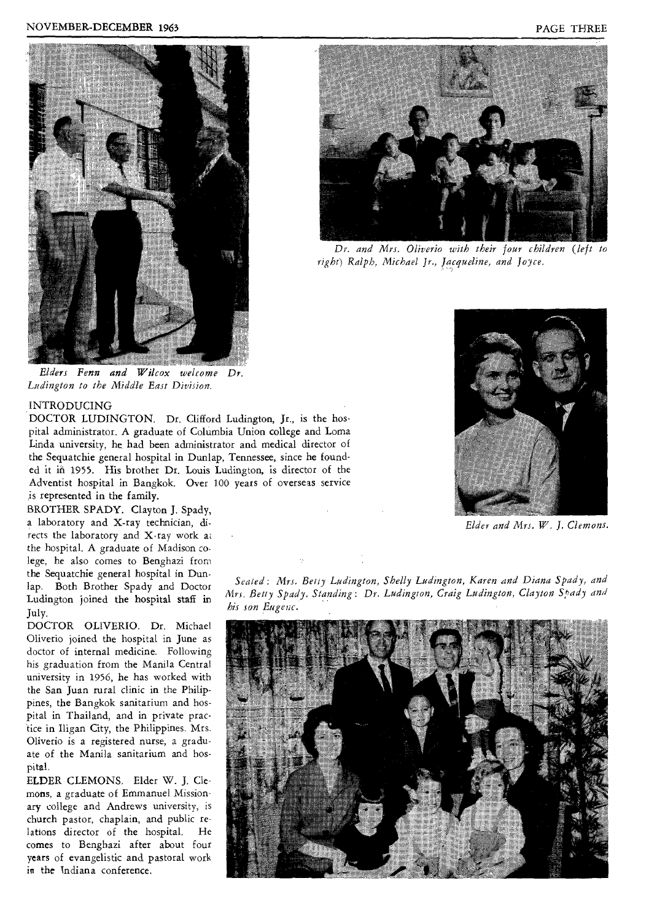



*Dr. and Mrs. Oliverio with their four children (left to right) Ralph, Michael Jr., Jacqueline, and Joyce.* 

*Elders Fenn and Wilcox welcome Dr. Ludington to the Middle East Division.* 

#### *INTRODUCING*

DOCTOR LUDINGTON. Dr. Clifford Ludington, Jr., is the hospital administrator. A graduate of Columbia Union college and Loma Linda university, he, had been administrator and medical director of the Sequatchie general hospital in Dunlap, Tennessee, since he founded it in 1955. His brother Dr. Louis Ludington, is director of the Adventist hospital in Bangkok. Over 100 years of overseas service is represented in the family.

BROTHER SPADY. Clayton J, Spady, a laboratory and X-ray technician, directs the laboratory and X-ray work at the hospital. A graduate of Madison colege, he also comes to Benghazi from the Sequatchie general hospital in Dunlap. Both Brother Spady and Doctor Ludington joined the hospital staff in July.

DOCTOR OLIVERIO. Dr. Michael Oliverio joined the hospital in June as doctor of internal medicine. Following his graduation from the Manila Central university in 1956, he has worked with the San Juan rural clinic in the Philippines, the Bangkok sanitarium and hospital in Thailand, and in private practice in Iligan City, the Philippines. Mrs. Oliverio is a registered nurse, a graduate of the Manila sanitarium and hospital.

ELDER CLEMONS. Elder W. J. Clemons, a graduate of Emmanuel Missionary college and Andrews university, is church pastor, chaplain, and public relations director of the hospital. He comes to Benghazi after about four years of evangelistic and pastoral work in the Indiana conference.



*Elder and Mrs. W. J. Clemons* 

*Seated: Mrs. Betty Ludington, Shelly Ludington, Karen and Diana Spady, and Mrs. Betty Spady. Standing: Dr. Ludington, Craig Ludington, Clayton Spady and his son Eugenc.* 

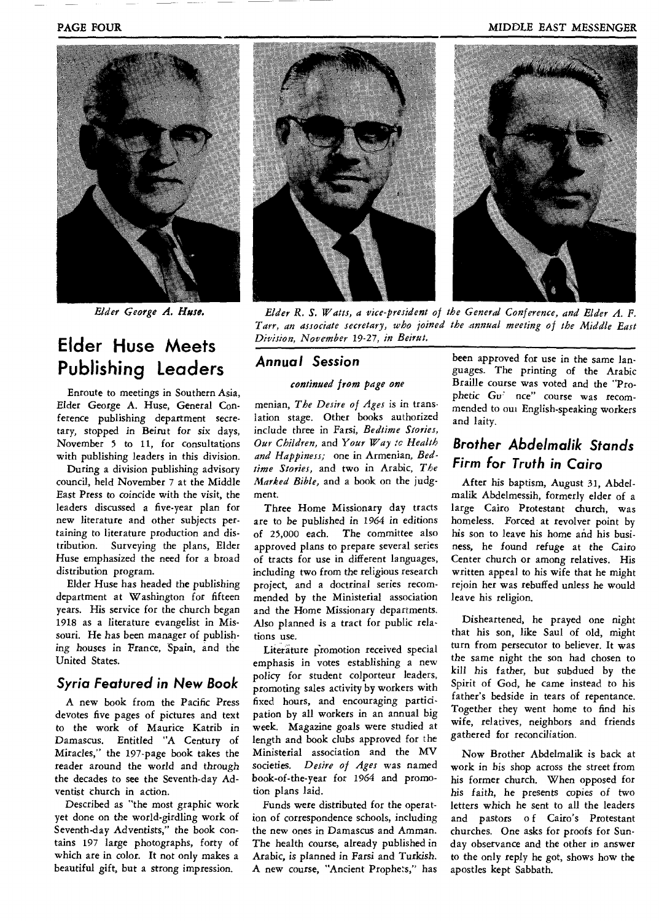#### **PAGE FOUR COURSERVERS AND SEXUAL EXAMPLE EAST MESSENGER**



*Elder George A. Huse.* 

### **Elder Huse Meets Publishing Leaders**

Enroute to meetings in Southern Asia, Elder George A. Huse, General Conference publishing department secretary, stopped in Beirut for six days, November 5 to 11, for consultations with publishing leaders in this division.

During a division publishing advisory council, held November 7 at the Middle *East Press* to coincide with the visit, the leaders discussed a five-year plan for new literature and other subjects pertaining to literature production and distribution. Surveying the plans, Elder Huse emphasized the need for a broad distribution program.

Elder Huse has headed the publishing department at Washington for fifteen years. His service for the church began 1918 as a literature evangelist in Missouri. He has been manager of publishing houses in France, Spain, and the United States.

#### **Syria Featured in New Book**

A new book from the Pacific Press devotes five pages of pictures and text to the work of Maurice Katrib in Damascus. Entitled "A Century of Miracles," the 197-page book takes the reader around the world and through the decades to see the Seventh-day Adventist church in action.

Described as "the most graphic work yet done on the world-girdling work of Seventh-day *Adventists,"* the book contains 197 large photographs, forty of which are in color. It not only makes a beautiful gift, but a strong impression.



*Elder R. S. Watts, a vice-president of the General Conference, and Elder A. F. Tarr, an associate secretary, who joined the annual meeting of the Middle East Division, November 19-27, in Beirut.* 

#### **Annual Session**

#### *continued from page one*

menian, *The Desire of Ages is* in translation stage. Other books authorized include three in Farsi, *Bedtime Stories, Our Children,* and *Your Way tc Health and Happiness;* one in Armenian, *Bedtime Stories,* and two in Arabic, *The Marked Bible,* and a book on the judgment.

**Three** Home Missionary day tracts are to be published in 1964 in editions of 25,000 each. The committee also approved plans to prepare several series of tracts for use in different languages, including two from the religious research project, and a doctrinal series recommended by the Ministerial association and the Home Missionary departments. Also planned is a tract for public relations use.

Literature promotion received special emphasis in votes establishing a new policy for student colporteur leaders, promoting sales activity by workers with fixed hours, and encouraging participation by all workers in an annual big week. Magazine goals were studied at length and book clubs approved for the Ministerial association and the MV *societies. Desire of Ages* was named book-of-the-year for 1964 and promotion plans laid.

Funds were distributed for the operation of correspondence schools, including the new ones in Damascus and Amman. The health course, already published in Arabic, is planned in *Farsi* and Turkish. A new course, "Ancient Prophets," has **been approved for use in** the same languages. The printing of the Arabic Braille course was voted and the "Prophetic Gu<sup>2</sup> nce" course was recommended to out English-speaking workers and laity.

### **Brother Abdelmalik Stands Firm for Truth in Cairo**

After his baptism, August 31, Abdelmalik Abdelmessih, formerly elder of a large Cairo Protestant church, was homeless. Forced at revolver point by his son to leave his home and his business, he found *refuge at* the Cairo Center church or among relatives. His written appeal to his wife that he might rejoin her was rebuffed unless he would leave his religion.

Disheartened, he prayed one night that his son, like Saul of old, might turn from persecutor to believer. It was the same night the son had chosen to kill *his father,* but subdued by the Spirit of God, he came instead to his father's bedside in tears of repentance. Together they went home to find his wife, relatives, neighbors and friends gathered for reconciliation.

Now Brother Abdelmalik is back at work in his shop across the street from his former church. When opposed for his faith, he presents copies of two letters which he sent to all the leaders and pastors of Cairo's Protestant churches. One asks for proofs for Sunday observance and the other in answer to the only reply he got, shows how the apostles kept Sabbath.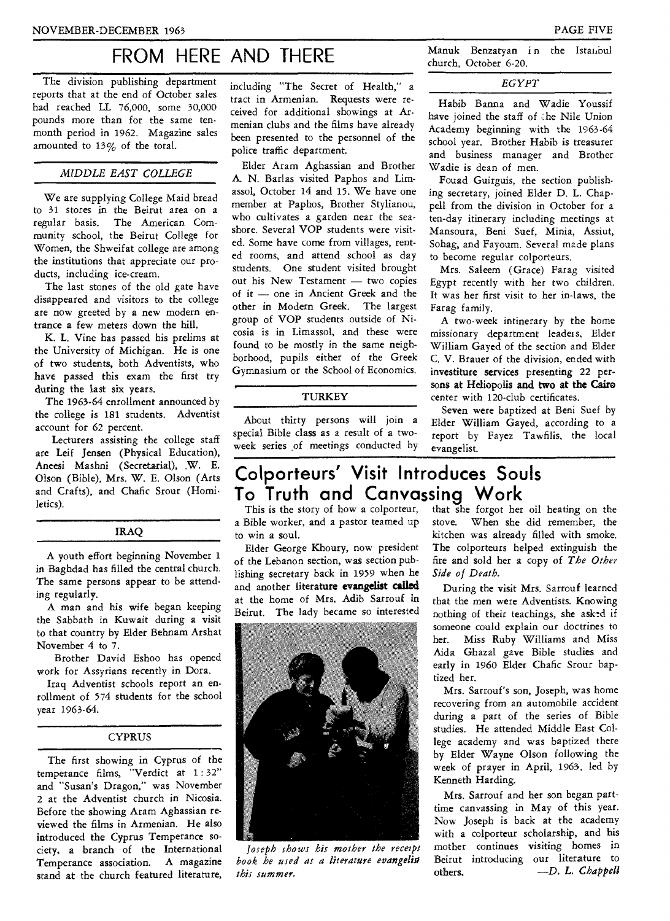### FROM HERE AND THERE Manuk Benzatyan in the Istanibul

The division publishing department reports that at the end of October sales had reached LL 76,000, some 30,000 pounds more than for the same tenmonth period in 1962. Magazine sales amounted to 13% of the total.

#### *MIDDLE EAST COLLEGE*

We are supplying College Maid bread to 31 stores in the Beirut area on a regular basis. The American Community school, the Beirut College for Women, the Shweifat college are among the institutions that appreciate our products, including ice-cream.

The last stones of the old gate have disappeared and visitors to the college are now greeted by a new modern entrance a few meters down the hill.

K. L. Vine has passed his prelims at the University of Michigan. He is one of two students, both Adventists, who have passed this exam the first try during the last six years.

The 1963-64 enrollment announced by the college is 181 students. Adventist account for 62 percent.

Lecturers assisting the college staff are Leif Jensen (Physical Education), Aneesi Mashni (Secretarial), .W. E. Olson (Bible), Mrs. W. E. Olson (Arts and Crafts), and Chafic Srour (Homiletics).

#### IRAQ

A youth effort beginning November 1 in Baghdad has filled the central church. The same persons appear to be attending regularly.

A man and his wife began keeping the Sabbath in Kuwait during a visit to that country by Elder Behnam Arshat November 4 to 7.

Brother David Eshoo has opened work for Assyrians recently in Dora.

Iraq Adventist schools report an enrollment of 574 students for the school year 1963-64.

#### **CYPRUS**

The first showing in Cyprus of the temperance films, "Verdict at 1 : 32" and "Susan's Dragon," was November 2 at the Adventist church in Nicosia. Before the showing Aram Aghassian reviewed the films in Armenian. He also introduced the Cyprus Temperance society, a branch of the International<br>Temperance association. A magazine Temperance association. stand at the church featured literature, including "The Secret of Health," a tract in Armenian. Requests were received for additional showings at Armenian clubs and the films have already been presented to the personnel of the police traffic department.

Elder Aram Aghassian and Brother A. N. Barlas visited Paphos and Limassol, October 14 and 15. We have one member at Paphos, Brother Stylianou, who cultivates a garden near the seashore. Several VOP students were visited. Some have come from villages, rented rooms, and attend school as day students. One student visited brought out his New Testament — two copies of it — one in Ancient Greek and the other in Modern Greek. The largest group of VOP students outside of Nicosia is in Limassol, and these were found to be mostly in the same neighborhood, pupils either of the Greek Gymnasium or the School of Economics.

#### **TURKEY**

About thirty persons will join a special Bible class as a result of a twoweek series of meetings conducted by

church, October 6-20.

#### *EGYPT*

Habib Banna and Wadie Youssif have joined the staff of the Nile Union Academy beginning with the 1963-64 school year. Brother Habib is treasurer and business manager and Brother Wadie is dean of men.

Fouad Guirguis, the section publishing secretary, joined Elder D. L. Chappell from the division in October for a ten-day itinerary including meetings at Mansoura, Beni Suef, Minia, Assiut, Sohag, and Fayoum. Several made plans to become regular colporteurs.

Mrs. Saleem (Grace) Farag visited Egypt recently with her two children. It was her first visit to her in-laws, the Farag family.

A two-week intinerary by the home missionary department leaders, Elder William Gayed of the section and Elder C. V. Brauer of the division, ended with investiture services presenting 22 persons at Heliopolis **and two at the Cairo**  center with 120-club certificates.

Seven were baptized at Beni Suef by Elder William Gayed, according to a report by Fayez Tawfilis, the local evangelist.

# **Colporteurs' Visit Introduces Souls To Truth and Canvassing Work**<br>This is the story of how a colporteur, that she forgot her

a Bible worker, and a pastor teamed up to win a soul.

Elder George Khoury, now president of the Lebanon section, was section publishing secretary back in 1959 when he and another literature **evangelist called**  at the home of Mrs. Adib Sarrouf in Beirut. The lady became so interested



*Joseph shows his mother the receipt book he used as a literature evangelist this summer.* 

stove. When she did remember, the kitchen was already filled with smoke. The colporteurs helped extinguish the fire and sold her a copy of *The Other Side of Death.*  that she forgot her oil heating on the

During the visit Mrs. Sarrouf learned that the men were Adventists. Knowing nothing of their teachings, she asked if someone could explain our doctrines to her. Miss Ruby Williams and Miss Aida Ghazal gave Bible studies and early in 1960 Elder Chafic Srour baptized her.

Mrs. Sarrouf's son, Joseph, was home recovering from an automobile accident during a part of the series of Bible studies. He attended Middle East College academy and was baptized there by Elder Wayne Olson following the week of prayer in April, 1963, led by Kenneth Harding.

Mrs. Sarrouf and her son began parttime canvassing in May of this year. Now Joseph is back at the academy with a colporteur scholarship, and his mother continues visiting homes in Beirut introducing our literature to others. *—D. L. Chappell*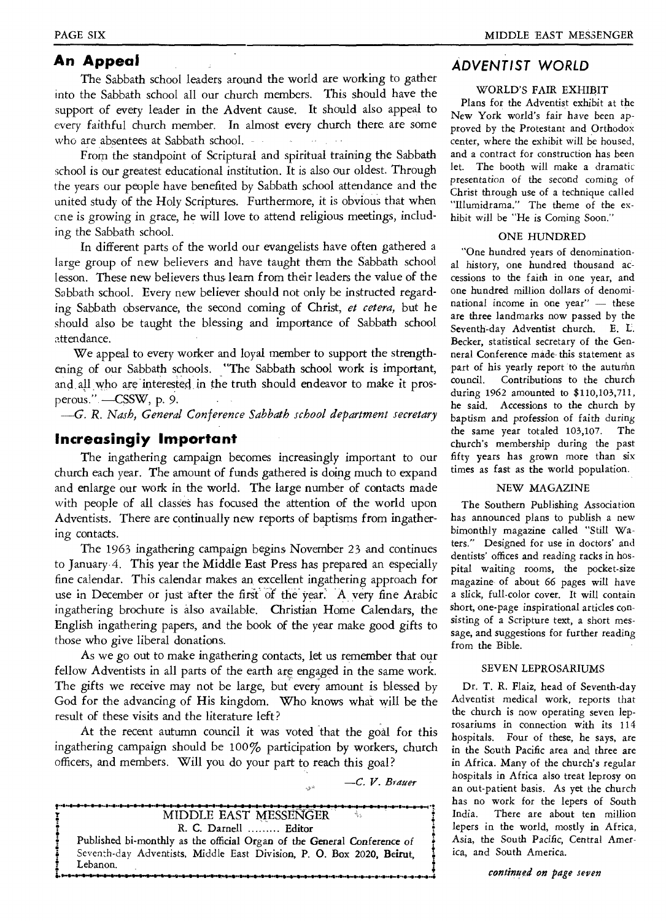#### **An Appeal**

The Sabbath school leaders around the world are working to gather into the Sabbath school all our church members. This should have the support of every leader in the Advent cause. It should also appeal to every faithful church member. In almost every church there are some who are absentees at Sabbath school. . . .

From the standpoint of Scriptural and spiritual training the Sabbath school is our greatest educational institution. It is also our oldest. Through the years our people have benefited by Sabbath school attendance and the united study of the Holy Scriptures. Furthermore, it is obvious that when cne is growing in grace, he will love to attend religious meetings, including the Sabbath school.

In different parts of the world our evangelists have often gathered a large group of new believers and have taught them the Sabbath school lesson. These new believers thus learn from their leaders the value of the Sabbath school. Every new believer should not only be instructed regarding Sabbath observance, the second coming of Christ, *et cetera,* but he should also be taught the blessing and importance of Sabbath school attendance.

We appeal to every worker and loyal member to support the strengthening of our Sabbath schools. "The Sabbath school work is important, and all who are interested in the truth should endeavor to make it prosperous." - CSSW, p. 9.

*—G. R. Nash, General Conference Sabbath school department secretary* 

#### **Increasingly Important**

The ingathering campaign becomes increasingly important to our church each year. The amount of funds gathered is doing much to expand and enlarge our work in the world. The large number of contacts made with people of all classes has focused the attention of the world upon Adventists. There are continually new reports of baptisms from ingathering contacts.

The 1963 ingathering campaign begins November 23 and continues to January 4. This year the Middle East Press has prepared an especially fine calendar. This calendar makes an excellent ingathering approach for use in December or just after the first' of the year: 'A very fine Arabic ingathering brochure is also available. Christian Home Calendars, the English ingathering papers, and the book of the year make good gifts to those who give liberal donations.

As we go out to make ingathering contacts, let us remember that our fellow Adventists in all parts of the earth are engaged in the same work. The gifts we receive may not be large, but every amount is blessed by God for the advancing of His kingdom. Who knows what will be the result of these visits and the literature left?

At the recent autumn council it was voted that the goal for this ingathering campaign should be 100% participation by workers, church officers, and members. Will you do your part to reach this goal?

*—C. V. Blamer* 



#### **ADVENTIST WORLD**

#### WORLD'S FAIR EXHIBIT

Plans for the Adventist exhibit at the New York world's fair have been approved by the Protestant and Orthodox center, where the exhibit will be housed, and a contract for construction has been let. The booth will make a dramatic presentation of the second coming of Christ through use of a technique called "Illumidrama." The theme of the exhibit will be "He is Coming Soon."

#### ONE HUNDRED

"One hundred years of denominational history, one hundred thousand accessions to the faith in one year, and one hundred million dollars of denominational income in one year" — these are three landmarks now passed by the Seventh-day Adventist church. E. L. Becker, statistical secretary of the Genneral Conference made this statement as part of his yearly report to the autumn council. Contributions to the church during 1962 amounted to \$110,103,711, he said. Accessions to the church by baptism and profession *of* faith *during*  the same year totaled 103,107. The church's membership during the past fifty years has grown more than six times as fast as the world population.

#### NEW MAGAZINE

The Southern Publishing Association has announced plans to publish a new bimonthly magazine called "Still Waters." Designed for use in doctors' and dentists' offices and reading racks in hospital waiting rooms, the pocket-size magazine of about 66 pages will have a slick, full-color cover. It will contain short, one-page inspirational articles consisting of a Scripture text, a short message, and suggestions for further reading from the Bible.

#### SEVEN LEPROSARIUMS

Dr. T. R. Flaiz, head of Seventh-day Adventist medical work, reports that the church is now operating seven leprosariums in connection with its 114 hospitals. Four of these, he says, are in the South Pacific area and three are in Africa. Many of the church's regular hospitals in Africa also treat leprosy on an out-patient basis. As yet the church has no work for the lepers of South India. There are about ten million lepers in the world, mostly in Africa, Asia, the South Pacific, Central America, and South America.

*continued on page seven*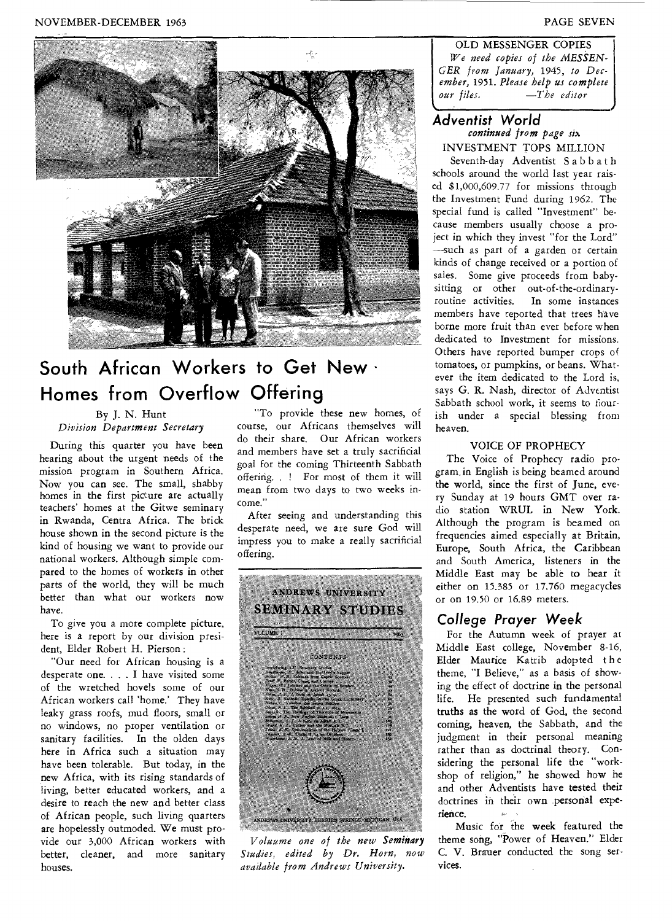#### NOVEMBER-DECEMBER 1963 PAGE SEVEN



### **South African Workers to Get New Homes from Overflow Offering**

#### By J. N. Hunt *Division Department Secretary*

During this quarter you have been hearing about the urgent needs of the mission program in Southern Africa. Now you can see. The small, shabby homes in the first picture are actually teachers' homes at the Gitwe seminary in Rwanda, Centra Africa. The brick house shown in the second picture is the kind of housing we want to provide our national workers. Although simple compared to the homes of workers in other parts of the world, they will be much better than what our workers now have.

To give you a more complete picture, here is a report by our division president, Elder Robert H. Pierson :

"Our need for African housing is a desperate one. . . . I have visited some of the wretched hovels some of our African workers call 'home.' They have leaky grass roofs, mud floors, small or no windows, no proper ventilation or sanitary facilities. In the olden days here in Africa such a situation may have been tolerable. But today, in the new Africa, with its rising standards of living, better educated workers, and a desire to reach the new and better class of African people, such living quarters are hopelessly outmoded. We must provide our 3,000 African workers with better, cleaner, and more sanitary houses.

"To provide these new homes, of course, our Africans themselves will do their share. Our African workers and members have set a truly sacrificial goal for the coming Thirteenth Sabbath offering. . ! For most of them it will mean from two days to two weeks income."

After seeing and understanding this desperate need, we are sure God will impress you to make a really sacrificial offering.



*V oluume one of the new Seminary Studies, edited by Dr. Horn, now available from .Andrews University.* 

OLD MESSENGER COPIES *We need copies of the MESSEN-GER from January,* 1945, *to December,* 1951. *Please help us complete our files. —The editor* 

#### **Adventist World**  *continued from page six*  INVESTMENT TOPS MILLION

*•*

Seventh-day Adventist Sabbath schools around the world last year raised \$1,000,609.77 for missions through the Investment Fund during 1962. The special fund is called "Investment" because members usually choose a project in which they invest "for the Lord" —such as part of a garden or certain kinds of change received or a portion of sales. Some give proceeds from babysitting or other out-of-the-ordinaryroutine activities. In some instances members have reported that trees have borne more fruit than ever before when dedicated to Investment for missions. Others have reported bumper crops of tomatoes, or pumpkins, or beans. Whatever the item dedicated to the Lord is, says G. R. Nash, director of Adventist Sabbath school work, it seems to flourish under a special blessing from heaven.

#### VOICE OF PROPHECY

The Voice of Prophecy radio program, in English is being beamed around the world, since the first of June, every Sunday at 19 hours GMT over radio station WRUL in New York. Although the program is beamed on frequencies aimed especially at Britain, Europe, South Africa, the Caribbean and South America, listeners in the Middle East may be able to hear it either on 15.385 or 17.760 megacycles or on 19.50 or 16.89 meters.

#### **College Prayer Week**

For the Autumn week of prayer at Middle East college, November 8-16, Elder Maurice Katrib adopted the theme, "I Believe," as a basis of showing the effect of doctrine in the personal life. He presented such fundamental truths as the word of God, the second coming, heaven, the Sabbath, and the judgment in their personal meaning rather than as doctrinal theory. Considering the personal life the "workshop of religion," he showed how he and other Adventists have tested their doctrines in their own personal experience.

Music for the week featured the theme song, "Power of Heaven." Elder C. V. Brauer conducted the song services.